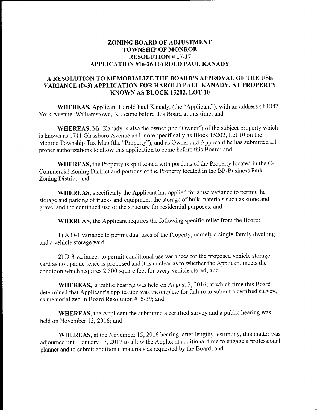## ZONING BOARD OF ADJUSTMENT TOWNSHIP OF MONROE RESOLUTION #17-17 APPLICATION #16-26 HAROLD PAUL KANADY

## A RESOLUTION TO MEMORIALIZE THE BOARD'S APPROVAL OF THE USE VARIANCE (D-3) APPLICATION FOR HAROLD PAUL KANADY, AT PROPERTY KNOWN AS BLOCK 15202, LOT 10

WHEREAS, Applicant Harold Paul Kanady, (the " Applicant"), with an address of <sup>1887</sup> York Avenue, Williamstown, NJ, came before this Board at this time; and

WHEREAS, Mr. Kanady is also the owner (the "Owner") of the subject property which is known as 1711 Glassboro Avenue and more specifically as Block 15202, Lot 10 on the Monroe Township Tax Map (the "Property"), and as Owner and Applicant he has submitted all proper authorizations to allow this application to come before this Board; and

WHEREAS, the Property is split zoned with portions of the Property located in the C-Commercial Zoning District and portions of the Property located in the BP -Business Park Zoning District; and

WHEREAS, specifically the Applicant has applied for <sup>a</sup> use variance to permit the storage and parking of trucks and equipment, the storage of bulk materials such as stone and gravel and the continued use of the structure for residential purposes; and

WHEREAS, the Applicant requires the following specific relief from the Board:

1) A D- <sup>1</sup> variance to permit dual uses of the Property, namely <sup>a</sup> single- family dwelling and a vehicle storage yard.

2) D-3 variances to permit conditional use variances for the proposed vehicle storage yard as no opaque fence is proposed and it is unclear as to whether the Applicant meets the condition which requires 2, 500 square feet for every vehicle stored; and

WHEREAS, a public hearing was held on August 2, 2016, at which time this Board determined that Applicant's application was incomplete for failure to submit a certified survey, as memorialized in Board Resolution #16-39; and

WHEREAS, the Applicant the submitted a certified survey and a public hearing was held on November 15, 2016; and

WHEREAS, at the November 15, 2016 hearing, after lengthy testimony, this matter was adjourned until January 17, 2017 to allow the Applicant additional time to engage a professional planner and to submit additional materials as requested by the Board; and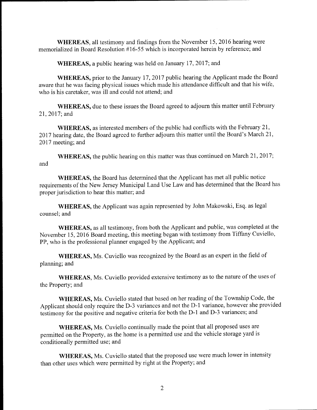WHEREAS, all testimony and findings from the November 15, 2016 hearing were memorialized in Board Resolution #16-55 which is incorporated herein by reference; and

WHEREAS, a public hearing was held on January 17, 2017; and

WHEREAS, prior to the January 17, 2017 public hearing the Applicant made the Board aware that he was facing physical issues which made his attendance difficult and that his wife, who is his caretaker, was ill and could not attend; and

WHEREAS, due to these issues the Board agreed to adjourn this matter until February 21, 2017; and

WHEREAS, as interested members of the public had conflicts with the February 21, 2017 hearing date, the Board agreed to further adjourn this matter until the Board's March 21, 2017 meeting; and

WHEREAS, the public hearing on this matter was thus continued on March 21, 2017; and

WHEREAS, the Board has determined that the Applicant has met all public notice requirements of the New Jersey Municipal Land Use Law and has determined that the Board has proper jurisdiction to hear this matter; and

WHEREAS, the Applicant was again represented by John Makowski, Esq. as legal counsel; and

WHEREAS, as all testimony, from both the Applicant and public, was completed at the November 15, 2016 Board meeting, this meeting began with testimony from Tiffany Cuviello, PP, who is the professional planner engaged by the Applicant; and

WHEREAS, Ms. Cuviello was recognized by the Board as an expert in the field of planning; and

WHEREAS, Ms. Cuviello provided extensive testimony as to the nature of the uses of the Property; and

WHEREAS, Ms. Cuviello stated that based on her reading of the Township Code, the Applicant should only require the D-3 variances and not the D-1 variance, however she provided testimony for the positive and negative criteria for both the D-1 and D-3 variances; and

WHEREAS, Ms. Cuviello continually made the point that all proposed uses are permitted on the Property, as the home is a permitted use and the vehicle storage yard is conditionally permitted use; and

WHEREAS, Ms. Cuviello stated that the proposed use were much lower in intensity than other uses which were permitted by right at the Property; and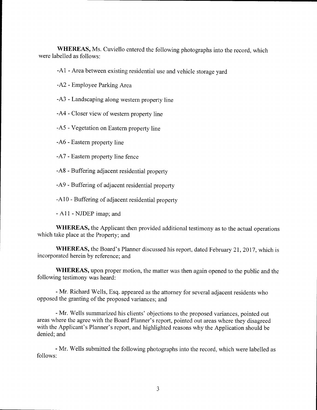WHEREAS, Ms. Cuviello entered the following photographs into the record, which were labelled as follows:

A1 - Area between existing residential use and vehicle storage yard

- A2 Employee Parking Area
- A3 Landscaping along western property line
- A4 Closer view of western property line
- A5 Vegetation on Eastern property line
- A6 Eastern property line
- A7 Eastern property line fence
- A8 Buffering adjacent residential property
- A9 Buffering of adjacent residential property
- A10 Buffering of adjacent residential property
- A 11 NJDEP imap; and

WHEREAS, the Applicant then provided additional testimony as to the actual operations which take place at the Property; and

WHEREAS, the Board's Planner discussed his report, dated February 21, 2017, which is incorporated herein by reference; and

WHEREAS, upon proper motion, the matter was then again opened to the public and the following testimony was heard:

Mr. Richard Wells, Esq. appeared as the attorney for several adjacent residents who opposed the granting of the proposed variances; and

Mr. Wells summarized his clients' objections to the proposed variances, pointed out areas where the agree with the Board Planner's report, pointed out areas where they disagreed with the Applicant's Planner's report, and highlighted reasons why the Application should be denied; and

Mr. Wells submitted the following photographs into the record, which were labelled as follows: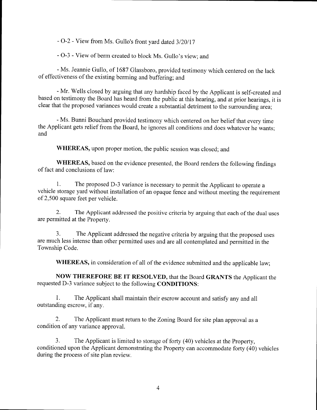- O-2 - View from Ms. Gullo's front yard dated 3/20/17

- O-3 - View of berm created to block Ms. Gullo's view; and

Ms. Jeannie Gullo, of 1687 Glassboro, provided testimony which centered on the lack of effectiveness of the existing berming and buffering; and

Mr. Wells closed by arguing that any hardship faced by the Applicant is self-created and based on testimony the Board has heard from the public at this hearing, and at prior hearings, it is clear that the proposed variances would create a substantial detriment to the surrounding area;

Ms. Bunni Bouchard provided testimony which centered on her belief that every time the Applicant gets relief from the Board, he ignores all conditions and does whatever he wants; and

WHEREAS, upon proper motion, the public session was closed; and

WHEREAS, based on the evidence presented, the Board renders the following findings of fact and conclusions of law:

1. The proposed D-3 variance is necessary to permit the Applicant to operate a vehicle storage yard without installation of an opaque fence and without meeting the requirement of 2, 500 square feet per vehicle.

2. The Applicant addressed the positive criteria by arguing that each of the dual uses are permitted at the Property.

3. The Applicant addressed the negative criteria by arguing that the proposed uses are much less intense than other permitted uses and are all contemplated and permitted in the Township Code.

WHEREAS, in consideration of all of the evidence submitted and the applicable law;

NOW THEREFORE BE IT RESOLVED, that the Board GRANTS the Applicant the requested D-3 variance subject to the following CONDITIONS:

1. The Applicant shall maintain their escrow account and satisfy any and all outstanding escrow, if any.

2. The Applicant must return to the Zoning Board for site plan approval as a condition of any variance approval.

3. The Applicant is limited to storage of forty ( 40) vehicles at the Property, conditioned upon the Applicant demonstrating the Property can accommodate forty (40) vehicles during the process of site plan review.